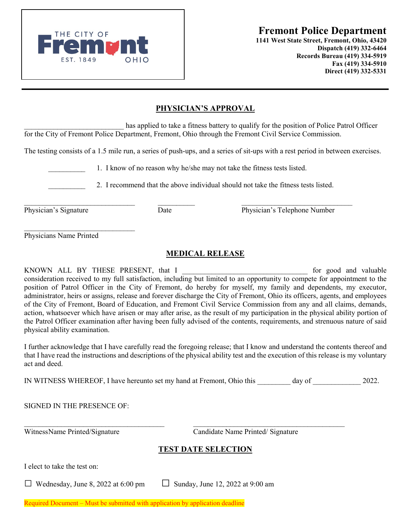EST. 1849 OHIO

**1141 West State Street, Fremont, Ohio, 43420 Dispatch (419) 332-6464 Records Bureau (419) 334-5919 Fax (419) 334-5910 Direct (419) 332-5331** 

## **PHYSICIAN'S APPROVAL**

has applied to take a fitness battery to qualify for the position of Police Patrol Officer for the City of Fremont Police Department, Fremont, Ohio through the Fremont Civil Service Commission.

The testing consists of a 1.5 mile run, a series of push-ups, and a series of sit-ups with a rest period in between exercises.

1. I know of no reason why he/she may not take the fitness tests listed.

2. I recommend that the above individual should not take the fitness tests listed.

\_\_\_\_\_\_\_\_\_\_\_\_\_\_\_\_\_\_\_\_\_\_\_\_\_\_\_\_\_\_ \_\_\_\_\_\_\_\_\_\_ \_\_\_\_\_\_\_\_\_\_\_\_\_\_\_\_\_\_\_\_\_\_\_\_\_\_\_\_\_\_ Physician's Signature Date Date Physician's Telephone Number

 $\mathcal{L}_\text{max}$  , where  $\mathcal{L}_\text{max}$  is the set of the set of the set of the set of the set of the set of the set of the set of the set of the set of the set of the set of the set of the set of the set of the set of the se Physicians Name Printed

## **MEDICAL RELEASE**

KNOWN ALL BY THESE PRESENT, that I contains the state of good and valuable consideration received to my full satisfaction, including but limited to an opportunity to compete for appointment to the position of Patrol Officer in the City of Fremont, do hereby for myself, my family and dependents, my executor, administrator, heirs or assigns, release and forever discharge the City of Fremont, Ohio its officers, agents, and employees of the City of Fremont, Board of Education, and Fremont Civil Service Commission from any and all claims, demands, action, whatsoever which have arisen or may after arise, as the result of my participation in the physical ability portion of the Patrol Officer examination after having been fully advised of the contents, requirements, and strenuous nature of said physical ability examination.

I further acknowledge that I have carefully read the foregoing release; that I know and understand the contents thereof and that I have read the instructions and descriptions of the physical ability test and the execution of this release is my voluntary act and deed.

IN WITNESS WHEREOF, I have hereunto set my hand at Fremont, Ohio this day of 2022.

WitnessName Printed/Signature Candidate Name Printed/ Signature

## **TEST DATE SELECTION**

\_\_\_\_\_\_\_\_\_\_\_\_\_\_\_\_\_\_\_\_\_\_\_\_\_\_\_\_\_\_\_\_\_\_\_\_\_\_ \_\_\_\_\_\_\_\_\_\_\_\_\_\_\_\_\_\_\_\_\_\_\_\_\_\_\_\_\_\_\_\_\_\_\_\_\_\_\_\_\_

I elect to take the test on:

□ Wednesday, June 8, 2022 at 6:00 pm  $□$  Sunday, June 12, 2022 at 9:00 am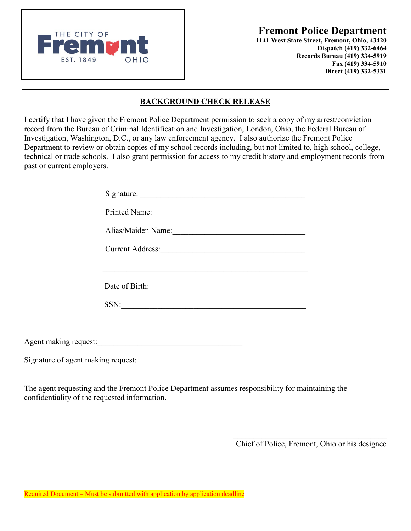THE CITY OF **CONSUMING THE CITY OF CONSUMING THE CITY OF** EST. 1849 OHIO

**1141 West State Street, Fremont, Ohio, 43420 Dispatch (419) 332-6464 Records Bureau (419) 334-5919 Fax (419) 334-5910 Direct (419) 332-5331** 

## **BACKGROUND CHECK RELEASE**

I certify that I have given the Fremont Police Department permission to seek a copy of my arrest/conviction record from the Bureau of Criminal Identification and Investigation, London, Ohio, the Federal Bureau of Investigation, Washington, D.C., or any law enforcement agency. I also authorize the Fremont Police Department to review or obtain copies of my school records including, but not limited to, high school, college, technical or trade schools. I also grant permission for access to my credit history and employment records from past or current employers.

| Signature:              |
|-------------------------|
| Printed Name:           |
| Alias/Maiden Name:      |
| <b>Current Address:</b> |
|                         |
| Date of Birth:          |
| SSN:                    |
|                         |

Agent making request:

Signature of agent making request:

The agent requesting and the Fremont Police Department assumes responsibility for maintaining the confidentiality of the requested information.

Chief of Police, Fremont, Ohio or his designee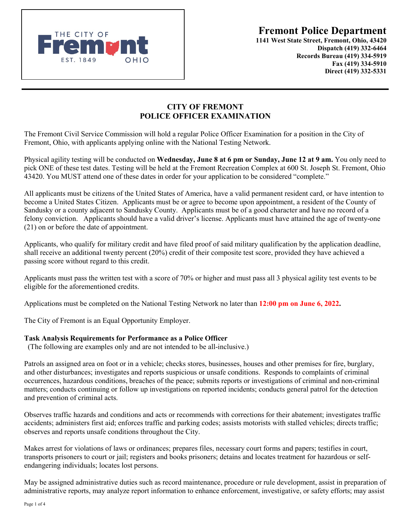

**1141 West State Street, Fremont, Ohio, 43420 Dispatch (419) 332-6464 Records Bureau (419) 334-5919 Fax (419) 334-5910 Direct (419) 332-5331** 

## **CITY OF FREMONT POLICE OFFICER EXAMINATION**

The Fremont Civil Service Commission will hold a regular Police Officer Examination for a position in the City of Fremont, Ohio, with applicants applying online with the National Testing Network.

Physical agility testing will be conducted on **Wednesday, June 8 at 6 pm or Sunday, June 12 at 9 am.** You only need to pick ONE of these test dates. Testing will be held at the Fremont Recreation Complex at 600 St. Joseph St. Fremont, Ohio 43420. You MUST attend one of these dates in order for your application to be considered "complete."

All applicants must be citizens of the United States of America, have a valid permanent resident card, or have intention to become a United States Citizen. Applicants must be or agree to become upon appointment, a resident of the County of Sandusky or a county adjacent to Sandusky County. Applicants must be of a good character and have no record of a felony conviction. Applicants should have a valid driver's license. Applicants must have attained the age of twenty-one (21) on or before the date of appointment.

Applicants, who qualify for military credit and have filed proof of said military qualification by the application deadline, shall receive an additional twenty percent (20%) credit of their composite test score, provided they have achieved a passing score without regard to this credit.

Applicants must pass the written test with a score of 70% or higher and must pass all 3 physical agility test events to be eligible for the aforementioned credits.

Applications must be completed on the National Testing Network no later than **12:00 pm on June 6, 2022.**

The City of Fremont is an Equal Opportunity Employer.

### **Task Analysis Requirements for Performance as a Police Officer**

(The following are examples only and are not intended to be all-inclusive.)

Patrols an assigned area on foot or in a vehicle; checks stores, businesses, houses and other premises for fire, burglary, and other disturbances; investigates and reports suspicious or unsafe conditions. Responds to complaints of criminal occurrences, hazardous conditions, breaches of the peace; submits reports or investigations of criminal and non-criminal matters; conducts continuing or follow up investigations on reported incidents; conducts general patrol for the detection and prevention of criminal acts.

Observes traffic hazards and conditions and acts or recommends with corrections for their abatement; investigates traffic accidents; administers first aid; enforces traffic and parking codes; assists motorists with stalled vehicles; directs traffic; observes and reports unsafe conditions throughout the City.

Makes arrest for violations of laws or ordinances; prepares files, necessary court forms and papers; testifies in court, transports prisoners to court or jail; registers and books prisoners; detains and locates treatment for hazardous or selfendangering individuals; locates lost persons.

May be assigned administrative duties such as record maintenance, procedure or rule development, assist in preparation of administrative reports, may analyze report information to enhance enforcement, investigative, or safety efforts; may assist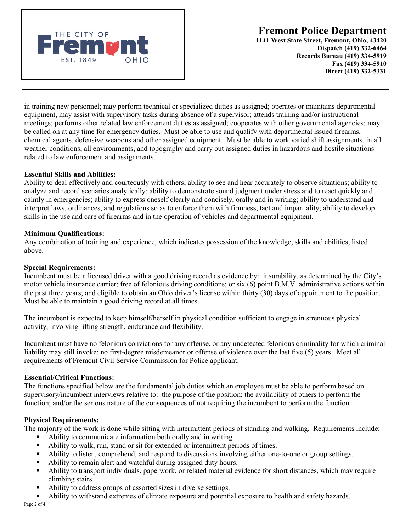

**1141 West State Street, Fremont, Ohio, 43420 Dispatch (419) 332-6464 Records Bureau (419) 334-5919 Fax (419) 334-5910 Direct (419) 332-5331** 

in training new personnel; may perform technical or specialized duties as assigned; operates or maintains departmental equipment, may assist with supervisory tasks during absence of a supervisor; attends training and/or instructional meetings; performs other related law enforcement duties as assigned; cooperates with other governmental agencies; may be called on at any time for emergency duties. Must be able to use and qualify with departmental issued firearms, chemical agents, defensive weapons and other assigned equipment. Must be able to work varied shift assignments, in all weather conditions, all environments, and topography and carry out assigned duties in hazardous and hostile situations related to law enforcement and assignments.

#### **Essential Skills and Abilities:**

Ability to deal effectively and courteously with others; ability to see and hear accurately to observe situations; ability to analyze and record scenarios analytically; ability to demonstrate sound judgment under stress and to react quickly and calmly in emergencies; ability to express oneself clearly and concisely, orally and in writing; ability to understand and interpret laws, ordinances, and regulations so as to enforce them with firmness, tact and impartiality; ability to develop skills in the use and care of firearms and in the operation of vehicles and departmental equipment.

#### **Minimum Qualifications:**

Any combination of training and experience, which indicates possession of the knowledge, skills and abilities, listed above.

#### **Special Requirements:**

Incumbent must be a licensed driver with a good driving record as evidence by: insurability, as determined by the City's motor vehicle insurance carrier; free of felonious driving conditions; or six (6) point B.M.V. administrative actions within the past three years; and eligible to obtain an Ohio driver's license within thirty (30) days of appointment to the position. Must be able to maintain a good driving record at all times.

The incumbent is expected to keep himself/herself in physical condition sufficient to engage in strenuous physical activity, involving lifting strength, endurance and flexibility.

Incumbent must have no felonious convictions for any offense, or any undetected felonious criminality for which criminal liability may still invoke; no first-degree misdemeanor or offense of violence over the last five (5) years. Meet all requirements of Fremont Civil Service Commission for Police applicant.

#### **Essential/Critical Functions:**

The functions specified below are the fundamental job duties which an employee must be able to perform based on supervisory/incumbent interviews relative to: the purpose of the position; the availability of others to perform the function; and/or the serious nature of the consequences of not requiring the incumbent to perform the function.

#### **Physical Requirements:**

The majority of the work is done while sitting with intermittent periods of standing and walking. Requirements include:

- Ability to communicate information both orally and in writing.
- Ability to walk, run, stand or sit for extended or intermittent periods of times.
- Ability to listen, comprehend, and respond to discussions involving either one-to-one or group settings.
- Ability to remain alert and watchful during assigned duty hours.
- Ability to transport individuals, paperwork, or related material evidence for short distances, which may require climbing stairs.
- Ability to address groups of assorted sizes in diverse settings.
- Ability to withstand extremes of climate exposure and potential exposure to health and safety hazards.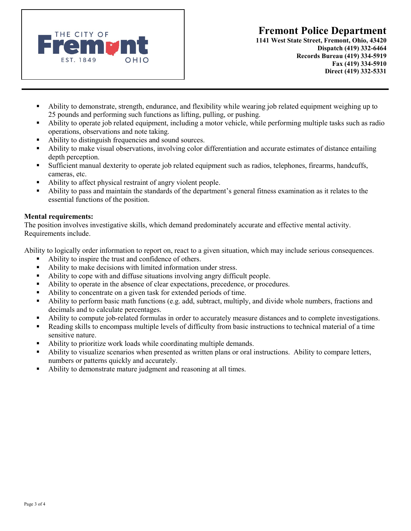



**1141 West State Street, Fremont, Ohio, 43420 Dispatch (419) 332-6464 Records Bureau (419) 334-5919 Fax (419) 334-5910 Direct (419) 332-5331** 

- Ability to demonstrate, strength, endurance, and flexibility while wearing job related equipment weighing up to 25 pounds and performing such functions as lifting, pulling, or pushing.
- Ability to operate job related equipment, including a motor vehicle, while performing multiple tasks such as radio operations, observations and note taking.
- Ability to distinguish frequencies and sound sources.
- Ability to make visual observations, involving color differentiation and accurate estimates of distance entailing depth perception.
- Sufficient manual dexterity to operate job related equipment such as radios, telephones, firearms, handcuffs, cameras, etc.
- Ability to affect physical restraint of angry violent people.
- Ability to pass and maintain the standards of the department's general fitness examination as it relates to the essential functions of the position.

#### **Mental requirements:**

The position involves investigative skills, which demand predominately accurate and effective mental activity. Requirements include.

Ability to logically order information to report on, react to a given situation, which may include serious consequences.

- Ability to inspire the trust and confidence of others.
- Ability to make decisions with limited information under stress.
- Ability to cope with and diffuse situations involving angry difficult people.
- Ability to operate in the absence of clear expectations, precedence, or procedures.
- Ability to concentrate on a given task for extended periods of time.
- Ability to perform basic math functions (e.g. add, subtract, multiply, and divide whole numbers, fractions and decimals and to calculate percentages.
- Ability to compute job-related formulas in order to accurately measure distances and to complete investigations.
- Reading skills to encompass multiple levels of difficulty from basic instructions to technical material of a time sensitive nature.
- Ability to prioritize work loads while coordinating multiple demands.
- Ability to visualize scenarios when presented as written plans or oral instructions. Ability to compare letters, numbers or patterns quickly and accurately.
- Ability to demonstrate mature judgment and reasoning at all times.